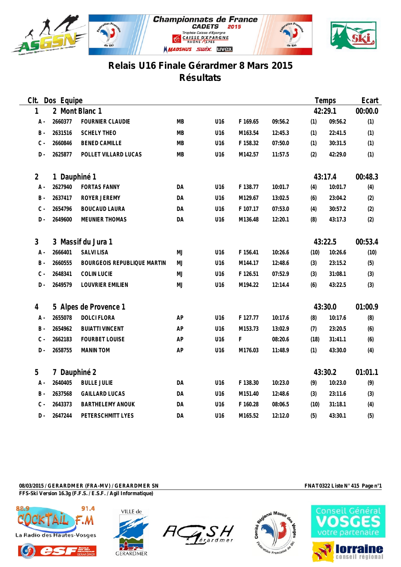



## **Relais U16 Finale Gérardmer 8 Mars 2015 Résultats**

| Clt.           | Dos Equipe         |                             |           |     |          |         |         | Temps   | Ecart   |
|----------------|--------------------|-----------------------------|-----------|-----|----------|---------|---------|---------|---------|
| 1              |                    | 2 Mont Blanc 1              |           |     |          |         |         | 42:29.1 | 00:00.0 |
| $A -$          | 2660377            | <b>FOURNIER CLAUDIE</b>     | MB        | U16 | F 169.65 | 09:56.2 | (1)     | 09:56.2 | (1)     |
| $B -$          | 2631516            | <b>SCHELY THEO</b>          | MВ        | U16 | M163.54  | 12:45.3 | (1)     | 22:41.5 | (1)     |
| $\mathtt{C}$ - | 2660846            | <b>BENED CAMILLE</b>        | <b>MB</b> | U16 | F 158.32 | 07:50.0 | (1)     | 30:31.5 | (1)     |
| $D -$          | 2625877            | POLLET VILLARD LUCAS        | MB        | U16 | M142.57  | 11:57.5 | (2)     | 42:29.0 | (1)     |
| $\overline{2}$ | 1 Dauphiné 1       |                             |           |     |          |         |         | 43:17.4 | 00:48.3 |
| A -            | 2627940            | <b>FORTAS FANNY</b>         | DA        | U16 | F 138.77 | 10:01.7 | (4)     | 10:01.7 | (4)     |
| $B -$          | 2637417            | ROYER JEREMY                | DA        | U16 | M129.67  | 13:02.5 | (6)     | 23:04.2 | (2)     |
| $C -$          | 2654796            | <b>BOUCAUD LAURA</b>        | DA        | U16 | F 107.17 | 07:53.0 | (4)     | 30:57.2 | (2)     |
| $D -$          | 2649600            | MEUNIER THOMAS              | DA        | U16 | M136.48  | 12:20.1 | (8)     | 43:17.3 | (2)     |
| 3              | 3 Massif du Jura 1 |                             |           |     |          |         | 43:22.5 |         | 00:53.4 |
| A -            | 2666401            | <b>SALVI LISA</b>           | MJ        | U16 | F 156.41 | 10:26.6 | (10)    | 10:26.6 | (10)    |
| $B -$          | 2660555            | BOURGEOIS REPUBLIQUE MARTIN | MJ        | U16 | M144.17  | 12:48.6 | (3)     | 23:15.2 | (5)     |
| $C -$          | 2648341            | COLIN LUCIE                 | MJ        | U16 | F 126.51 | 07:52.9 | (3)     | 31:08.1 | (3)     |
| $D -$          | 2649579            | LOUVRIER EMILIEN            | MJ        | U16 | M194.22  | 12:14.4 | (6)     | 43:22.5 | (3)     |
| 4              |                    | 5 Alpes de Provence 1       |           |     |          |         |         | 43:30.0 | 01:00.9 |
| A -            | 2655078            | <b>DOLCI FLORA</b>          | AP        | U16 | F 127.77 | 10:17.6 | (8)     | 10:17.6 | (8)     |
| $\,$ B $\,$ -  | 2654962            | <b>BUIATTI VINCENT</b>      | AP        | U16 | M153.73  | 13:02.9 | (7)     | 23:20.5 | (6)     |
| $C -$          | 2662183            | <b>FOURBET LOUISE</b>       | AP        | U16 | F.       | 08:20.6 | (18)    | 31:41.1 | (6)     |
| $D -$          | 2658755            | MANIN TOM                   | AP        | U16 | M176.03  | 11:48.9 | (1)     | 43:30.0 | (4)     |
| 5              | 7 Dauphiné 2       |                             |           |     |          |         |         | 43:30.2 | 01:01.1 |
| A -            | 2640405            | <b>BULLE JULIE</b>          | DA        | U16 | F 138.30 | 10:23.0 | (9)     | 10:23.0 | (9)     |
| <b>B</b> -     | 2637568            | <b>GAILLARD LUCAS</b>       | DA        | U16 | M151.40  | 12:48.6 | (3)     | 23:11.6 | (3)     |
| $C -$          | 2643373            | <b>BARTHELEMY ANOUK</b>     | DA        | U16 | F 160.28 | 08:06.5 | (10)    | 31:18.1 | (4)     |
| $D -$          | 2647244            | PETERSCHMITT LYES           | DA        | U16 | M165.52  | 12:12.0 | (5)     | 43:30.1 | (5)     |

**08/03/2015 / GERARDMER (FRA-MV) / GERARDMER SN FNAT0322 Liste N° 415 Page n°1 FFS-Ski Version 16.3g (F.F.S. / E.S.F. / Agil Informatique)**











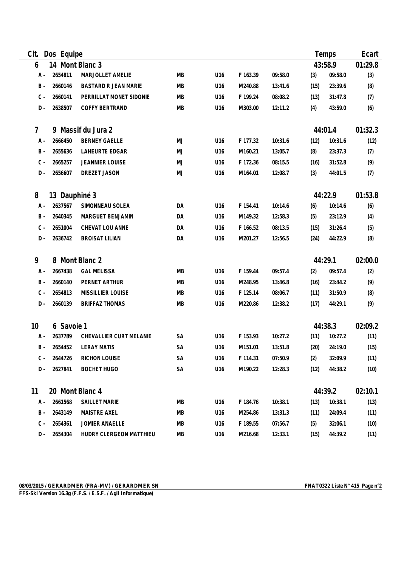| CIt.  | Dos Equipe      |                             |           |                 |          |         |      | Temps   |         |
|-------|-----------------|-----------------------------|-----------|-----------------|----------|---------|------|---------|---------|
| 6     | 14 Mont Blanc 3 |                             |           |                 |          |         |      | 43:58.9 | 01:29.8 |
| A -   | 2654811         | MARJOLLET AMELIE            | MB        | U16             | F 163.39 | 09:58.0 | (3)  | 09:58.0 | (3)     |
| $B -$ | 2660146         | <b>BASTARD R JEAN MARIE</b> | MB        | U16             | M240.88  | 13:41.6 | (15) | 23:39.6 | (8)     |
| $C -$ | 2660141         | PERRILLAT MONET SIDONIE     | <b>MB</b> | U16             | F 199.24 | 08:08.2 | (13) | 31:47.8 | (7)     |
| $D -$ | 2638507         | COFFY BERTRAND              | MB        | U16             | M303.00  | 12:11.2 | (4)  | 43:59.0 | (6)     |
| 7     | 9               | Massif du Jura 2            |           |                 |          |         |      | 44:01.4 | 01:32.3 |
| A -   | 2666450         | <b>BERNEY GAELLE</b>        | MJ        | U16             | F 177.32 | 10:31.6 | (12) | 10:31.6 | (12)    |
| B -   | 2655636         | LAHEURTE EDGAR              | MJ        | U16             | M160.21  | 13:05.7 | (8)  | 23:37.3 | (7)     |
| $C -$ | 2665257         | <b>JEANNIER LOUISE</b>      | MJ        | U16             | F 172.36 | 08:15.5 | (16) | 31:52.8 | (9)     |
| $D -$ | 2656607         | DREZET JASON                | MJ        | U16             | M164.01  | 12:08.7 | (3)  | 44:01.5 | (7)     |
| 8     | 13 Dauphiné 3   |                             |           |                 |          |         |      | 44:22.9 | 01:53.8 |
| $A -$ | 2637567         | SIMONNEAU SOLEA             | DA        | U16             | F 154.41 | 10:14.6 | (6)  | 10:14.6 | (6)     |
| $B -$ | 2640345         | MARGUET BENJAMIN            | DA        | U16             | M149.32  | 12:58.3 | (5)  | 23:12.9 | (4)     |
| $C -$ | 2651004         | CHEVAT LOU ANNE             | DA        | U16             | F 166.52 | 08:13.5 | (15) | 31:26.4 | (5)     |
| $D -$ | 2636742         | <b>BROISAT LILIAN</b>       | DA        | U16             | M201.27  | 12:56.5 | (24) | 44:22.9 | (8)     |
| 9     |                 | 8 Mont Blanc 2              |           |                 |          |         |      | 44:29.1 | 02:00.0 |
| $A -$ | 2667438         | <b>GAL MELISSA</b>          | MB        | U16             | F 159.44 | 09:57.4 | (2)  | 09:57.4 | (2)     |
| $B -$ | 2660140         | PERNET ARTHUR               | MB        | U16             | M248.95  | 13:46.8 | (16) | 23:44.2 | (9)     |
| $C -$ | 2654813         | MISSILLIER LOUISE           | MB        | U16             | F 125.14 | 08:06.7 | (11) | 31:50.9 | (8)     |
| $D -$ | 2660139         | <b>BRIFFAZ THOMAS</b>       | MB        | U16             | M220.86  | 12:38.2 | (17) | 44:29.1 | (9)     |
| 10    | 6 Savoie 1      |                             |           |                 |          |         |      | 44:38.3 | 02:09.2 |
| $A -$ | 2637789         | CHEVALLIER CURT MELANIE     | <b>SA</b> | U <sub>16</sub> | F 153.93 | 10:27.2 | (11) | 10:27.2 | (11)    |
| $B -$ | 2654452         | <b>LERAY MATIS</b>          | <b>SA</b> | U <sub>16</sub> | M151.01  | 13:51.8 | (20) | 24:19.0 | (15)    |
| $C -$ | 2644726         | <b>RICHON LOUISE</b>        | SA        | U16             | F 114.31 | 07:50.9 | (2)  | 32:09.9 | (11)    |
| D -   | 2627841         | <b>BOCHET HUGO</b>          | SA        | U16             | M190.22  | 12:28.3 | (12) | 44:38.2 | (10)    |
| 11    | 20 Mont Blanc 4 |                             |           |                 |          |         |      | 44:39.2 | 02:10.1 |
| A -   | 2661568         | SAILLET MARIE               | MB        | U16             | F 184.76 | 10:38.1 | (13) | 10:38.1 | (13)    |
| B -   | 2643149         | <b>MAISTRE AXEL</b>         | МB        | U16             | M254.86  | 13:31.3 | (11) | 24:09.4 | (11)    |
| $C -$ | 2654361         | JOMIER ANAELLE              | МB        | U16             | F 189.55 | 07:56.7 | (5)  | 32:06.1 | (10)    |
| D -   | 2654304         | HUDRY CLERGEON MATTHIEU     | MB        | U16             | M216.68  | 12:33.1 | (15) | 44:39.2 | (11)    |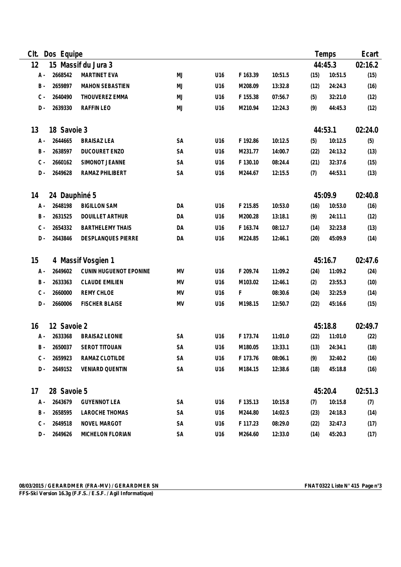| Clt.  | Dos Equipe    |                         |           |                 |          |         |      | Temps   |         |
|-------|---------------|-------------------------|-----------|-----------------|----------|---------|------|---------|---------|
| 12    |               | 15 Massif du Jura 3     |           |                 |          |         |      | 44:45.3 | 02:16.2 |
| A -   | 2668542       | MARTINET EVA            | <b>MJ</b> | U16             | F 163.39 | 10:51.5 | (15) | 10:51.5 | (15)    |
| $B -$ | 2659897       | <b>MAHON SEBASTIEN</b>  | MJ        | U16             | M208.09  | 13:32.8 | (12) | 24:24.3 | (16)    |
| $C -$ | 2640490       | THOUVEREZ EMMA          | MJ        | U16             | F 155.38 | 07:56.7 | (5)  | 32:21.0 | (12)    |
| $D -$ | 2639330       | RAFFIN LEO              | MJ        | U16             | M210.94  | 12:24.3 | (9)  | 44:45.3 | (12)    |
| 13    | 18 Savoie 3   |                         |           |                 |          |         |      | 44:53.1 | 02:24.0 |
| A -   | 2644665       | <b>BRAISAZ LEA</b>      | SA        | U16             | F 192.86 | 10:12.5 | (5)  | 10:12.5 | (5)     |
| $B -$ | 2638597       | DUCOURET ENZO           | SA        | U16             | M231.77  | 14:00.7 | (22) | 24:13.2 | (13)    |
| $C -$ | 2660162       | SIMONOT JEANNE          | SA        | U16             | F 130.10 | 08:24.4 | (21) | 32:37.6 | (15)    |
| $D -$ | 2649628       | RAMAZ PHILIBERT         | SA        | U16             | M244.67  | 12:15.5 | (7)  | 44:53.1 | (13)    |
| 14    | 24 Dauphiné 5 |                         |           |                 |          |         |      | 45:09.9 | 02:40.8 |
| A -   | 2648198       | <b>BIGILLON SAM</b>     | DA        | U16             | F 215.85 | 10:53.0 | (16) | 10:53.0 | (16)    |
| $B -$ | 2631525       | <b>DOUILLET ARTHUR</b>  | DA        | U16             | M200.28  | 13:18.1 | (9)  | 24:11.1 | (12)    |
| $C -$ | 2654332       | <b>BARTHELEMY THAIS</b> | DA        | U16             | F 163.74 | 08:12.7 | (14) | 32:23.8 | (13)    |
| $D -$ | 2643846       | DESPLANQUES PIERRE      | DA        | U16             | M224.85  | 12:46.1 | (20) | 45:09.9 | (14)    |
| 15    |               | 4 Massif Vosgien 1      |           |                 |          |         |      | 45:16.7 | 02:47.6 |
| A -   | 2649602       | CUNIN HUGUENOT EPONINE  | MV        | U16             | F 209.74 | 11:09.2 | (24) | 11:09.2 | (24)    |
| $B -$ | 2633363       | <b>CLAUDE EMILIEN</b>   | MV        | U16             | M103.02  | 12:46.1 | (2)  | 23:55.3 | (10)    |
| $C -$ | 2660000       | <b>REMY CHLOE</b>       | MV        | U16             | F        | 08:30.6 | (24) | 32:25.9 | (14)    |
| D -   | 2660006       | <b>FISCHER BLAISE</b>   | MV        | U16             | M198.15  | 12:50.7 | (22) | 45:16.6 | (15)    |
| 16    | 12 Savoie 2   |                         |           |                 |          |         |      | 45:18.8 | 02:49.7 |
| A -   | 2633368       | <b>BRAISAZ LEONIE</b>   | SA        | U16             | F 173.74 | 11:01.0 | (22) | 11:01.0 | (22)    |
| $B -$ | 2650037       | SEROT TITOUAN           | <b>SA</b> | U16             | M180.05  | 13:33.1 | (13) | 24:34.1 | (18)    |
| C -   | 2659923       | RAMAZ CLOTILDE          | SA        | U16             | F 173.76 | 08:06.1 | (9)  | 32:40.2 | (16)    |
| D -   | 2649152       | <b>VENIARD QUENTIN</b>  | SA        | U16             | M184.15  | 12:38.6 | (18) | 45:18.8 | (16)    |
| 17    | 28 Savoie 5   |                         |           |                 |          |         |      | 45:20.4 | 02:51.3 |
| A -   | 2643679       | <b>GUYENNOT LEA</b>     | SA        | U16             | F 135.13 | 10:15.8 | (7)  | 10:15.8 | (7)     |
| B -   | 2658595       | LAROCHE THOMAS          | SA        | U <sub>16</sub> | M244.80  | 14:02.5 | (23) | 24:18.3 | (14)    |
| $C -$ | 2649518       | NOVEL MARGOT            | SA        | U16             | F 117.23 | 08:29.0 | (22) | 32:47.3 | (17)    |
| D -   | 2649626       | MICHELON FLORIAN        | SA        | U16             | M264.60  | 12:33.0 | (14) | 45:20.3 | (17)    |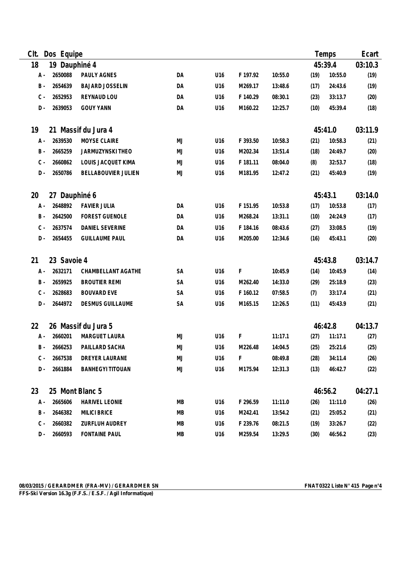| Clt.                      | Dos Equipe      |                         |           |                 |          |         |         | Temps   |         |
|---------------------------|-----------------|-------------------------|-----------|-----------------|----------|---------|---------|---------|---------|
| 18                        | 19 Dauphiné 4   |                         |           |                 |          |         |         | 45:39.4 | 03:10.3 |
| $A -$                     | 2650088         | PAULY AGNES             | DA        | U16             | F 197.92 | 10:55.0 | (19)    | 10:55.0 | (19)    |
| $B -$                     | 2654639         | <b>BAJARD JOSSELIN</b>  | DA        | U16             | M269.17  | 13:48.6 | (17)    | 24:43.6 | (19)    |
| $C -$                     | 2652953         | REYNAUD LOU             | DA        | U16             | F 140.29 | 08:30.1 | (23)    | 33:13.7 | (20)    |
| $D -$                     | 2639053         | <b>GOUY YANN</b>        | DA        | U16             | M160.22  | 12:25.7 | (10)    | 45:39.4 | (18)    |
| 19                        |                 | 21 Massif du Jura 4     |           |                 |          |         |         | 45:41.0 | 03:11.9 |
| $A -$                     | 2639530         | MOYSE CLAIRE            | MJ        | U16             | F 393.50 | 10:58.3 | (21)    | 10:58.3 | (21)    |
| $B -$                     | 2665259         | JARMUZYNSKI THEO        | MJ        | U16             | M202.34  | 13:51.4 | (18)    | 24:49.7 | (20)    |
| $C -$                     | 2660862         | LOUIS JACQUET KIMA      | MJ        | U16             | F 181.11 | 08:04.0 | (8)     | 32:53.7 | (18)    |
| $D -$                     | 2650786         | BELLABOUVIER JULIEN     | MJ        | U16             | M181.95  | 12:47.2 | (21)    | 45:40.9 | (19)    |
| 20<br>27 Dauphiné 6       |                 |                         |           |                 |          |         |         | 45:43.1 | 03:14.0 |
| A -                       | 2648892         | <b>FAVIER JULIA</b>     | DA        | U16             | F 151.95 | 10:53.8 | (17)    | 10:53.8 | (17)    |
| $B -$                     | 2642500         | <b>FOREST GUENOLE</b>   | DA        | U16             | M268.24  | 13:31.1 | (10)    | 24:24.9 | (17)    |
| $C -$                     | 2637574         | DANIEL SEVERINE         | DA        | U16             | F 184.16 | 08:43.6 | (27)    | 33:08.5 | (19)    |
| $D -$                     | 2654455         | <b>GUILLAUME PAUL</b>   | DA        | U16             | M205.00  | 12:34.6 | (16)    | 45:43.1 | (20)    |
| 21                        | 23 Savoie 4     |                         |           |                 |          |         |         | 45:43.8 | 03:14.7 |
| A -                       | 2632171         | CHAMBELLANT AGATHE      | <b>SA</b> | U16             | F        | 10:45.9 | (14)    | 10:45.9 | (14)    |
| $B -$                     | 2659925         | <b>BROUTIER REMI</b>    | SA        | U16             | M262.40  | 14:33.0 | (29)    | 25:18.9 | (23)    |
| $C -$                     | 2628683         | <b>BOUVARD EVE</b>      | SA        | U16             | F 160.12 | 07:58.5 | (7)     | 33:17.4 | (21)    |
| D -                       | 2644972         | <b>DESMUS GUILLAUME</b> | SA        | U16             | M165.15  | 12:26.5 | (11)    | 45:43.9 | (21)    |
| 26 Massif du Jura 5<br>22 |                 |                         |           |                 |          |         | 46:42.8 | 04:13.7 |         |
| A -                       | 2660201         | MARGUET LAURA           | MJ        | U16             | F        | 11:17.1 | (27)    | 11:17.1 | (27)    |
| B -                       | 2666253         | PAILLARD SACHA          | MJ        | U16             | M226.48  | 14:04.5 | (25)    | 25:21.6 | (25)    |
| C -                       | 2667538         | DREYER LAURANE          | MJ        | U16             | F.       | 08:49.8 | (28)    | 34:11.4 | (26)    |
| D -                       | 2661884         | <b>BANHEGYI TITOUAN</b> | MJ        | U16             | M175.94  | 12:31.3 | (13)    | 46:42.7 | (22)    |
| 23                        | 25 Mont Blanc 5 |                         |           |                 |          |         |         | 46:56.2 | 04:27.1 |
| A -                       | 2665606         | <b>HARIVEL LEONIE</b>   | МB        | U16             | F 296.59 | 11:11.0 | (26)    | 11:11.0 | (26)    |
| B -                       | 2646382         | <b>MILICI BRICE</b>     | МB        | U16             | M242.41  | 13:54.2 | (21)    | 25:05.2 | (21)    |
| $C -$                     | 2660382         | ZURFLUH AUDREY          | MВ        | U <sub>16</sub> | F 239.76 | 08:21.5 | (19)    | 33:26.7 | (22)    |
| $D -$                     | 2660593         | <b>FONTAINE PAUL</b>    | MB        | U16             | M259.54  | 13:29.5 | (30)    | 46:56.2 | (23)    |

 $\overline{\phantom{0}}$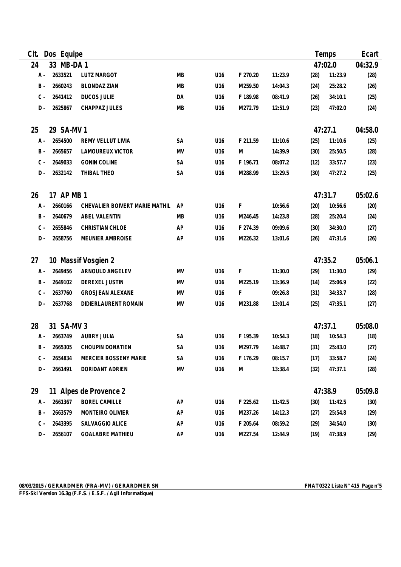| CIt.                                    | Dos Equipe |                                |           |     |           |         |         | Temps   |         |
|-----------------------------------------|------------|--------------------------------|-----------|-----|-----------|---------|---------|---------|---------|
| 24                                      | 33 MB-DA 1 |                                |           |     |           |         |         | 47:02.0 | 04:32.9 |
| A -                                     | 2633521    | <b>LUTZ MARGOT</b>             | MB        | U16 | F 270.20  | 11:23.9 | (28)    | 11:23.9 | (28)    |
| <b>B</b> -                              | 2660243    | <b>BLONDAZ ZIAN</b>            | MB        | U16 | M259.50   | 14:04.3 | (24)    | 25:28.2 | (26)    |
| $C -$                                   | 2641412    | <b>DUCOS JULIE</b>             | DA        | U16 | F 189.98  | 08:41.9 | (26)    | 34:10.1 | (25)    |
| $D -$                                   | 2625867    | CHAPPAZ JULES                  | MB        | U16 | M272.79   | 12:51.9 | (23)    | 47:02.0 | (24)    |
| 25                                      | 29 SA-MV 1 |                                |           |     |           |         |         | 47:27.1 | 04:58.0 |
| A -                                     | 2654500    | REMY VELLUT LIVIA              | SA        | U16 | F 211.59  | 11:10.6 | (25)    | 11:10.6 | (25)    |
| <b>B</b> -                              | 2665657    | LAMOUREUX VICTOR               | MV        | U16 | M         | 14:39.9 | (30)    | 25:50.5 | (28)    |
| $C -$                                   | 2649033    | <b>GONIN COLINE</b>            | SA        | U16 | F 196.71  | 08:07.2 | (12)    | 33:57.7 | (23)    |
| $D -$                                   | 2632142    | THIBAL THEO                    | SA        | U16 | M288.99   | 13:29.5 | (30)    | 47:27.2 | (25)    |
| 26                                      | 17 AP MB 1 |                                |           |     |           |         |         | 47:31.7 | 05:02.6 |
| A -                                     | 2660166    | CHEVALIER BOIVERT MARIE MATHIL | AP        | U16 | F         | 10:56.6 | (20)    | 10:56.6 | (20)    |
| <b>B</b> -                              | 2640679    | ABEL VALENTIN                  | MB        | U16 | M246.45   | 14:23.8 | (28)    | 25:20.4 | (24)    |
| $C -$                                   | 2655846    | CHRISTIAN CHLOE                | AP        | U16 | F 274.39  | 09:09.6 | (30)    | 34:30.0 | (27)    |
| $D -$                                   | 2658756    | MEUNIER AMBROISE               | AP        | U16 | M226.32   | 13:01.6 | (26)    | 47:31.6 | (26)    |
| 27                                      |            | 10 Massif Vosgien 2            |           |     |           |         |         | 47:35.2 | 05:06.1 |
| A -                                     | 2649456    | ARNOULD ANGELEV                | MV        | U16 | F         | 11:30.0 | (29)    | 11:30.0 | (29)    |
| <b>B</b> -                              | 2649102    | DEREXEL JUSTIN                 | MV        | U16 | M225.19   | 13:36.9 | (14)    | 25:06.9 | (22)    |
| $C -$                                   | 2637760    | <b>GROSJEAN ALEXANE</b>        | MV        | U16 | F         | 09:26.8 | (31)    | 34:33.7 | (28)    |
| D-                                      | 2637768    | DIDIERLAURENT ROMAIN           | MV        | U16 | M231.88   | 13:01.4 | (25)    | 47:35.1 | (27)    |
| 28                                      | 31 SA-MV 3 |                                |           |     |           |         |         | 47:37.1 | 05:08.0 |
| $A -$                                   | 2663749    | AUBRY JULIA                    | <b>SA</b> | U16 | F 195.39  | 10:54.3 | (18)    | 10:54.3 | (18)    |
| B -                                     | 2665305    | CHOUPIN DONATIEN               | <b>SA</b> | U16 | M297.79   | 14:48.7 | (31)    | 25:43.0 | (27)    |
| С -                                     | 2654834    | MERCIER BOSSENY MARIE          | SA        | U16 | F 176.29  | 08:15.7 | (17)    | 33:58.7 | (24)    |
| D -                                     | 2661491    | DORIDANT ADRIEN                | MV        | U16 | ${\sf M}$ | 13:38.4 | (32)    | 47:37.1 | (28)    |
| 29<br>11 Alpes de Provence 2<br>47:38.9 |            |                                |           |     |           |         | 05:09.8 |         |         |
| A -                                     | 2661367    | <b>BOREL CAMILLE</b>           | AP        | U16 | F 225.62  | 11:42.5 | (30)    | 11:42.5 | (30)    |
| B -                                     | 2663579    | MONTEIRO OLIVIER               | AP        | U16 | M237.26   | 14:12.3 | (27)    | 25:54.8 | (29)    |
| $C -$                                   | 2643395    | SALVAGGIO ALICE                | AP        | U16 | F 205.64  | 08:59.2 | (29)    | 34:54.0 | (30)    |
| D -                                     | 2656107    | <b>GOALABRE MATHIEU</b>        | AP        | U16 | M227.54   | 12:44.9 | (19)    | 47:38.9 | (29)    |

 $\overline{\phantom{0}}$